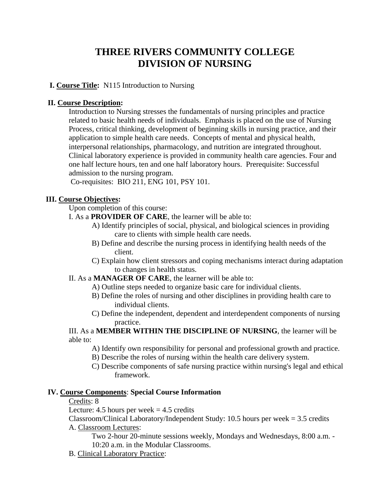# **THREE RIVERS COMMUNITY COLLEGE DIVISION OF NURSING**

# **I. Course Title:** N115 Introduction to Nursing

### **II. Course Description:**

Introduction to Nursing stresses the fundamentals of nursing principles and practice related to basic health needs of individuals. Emphasis is placed on the use of Nursing Process, critical thinking, development of beginning skills in nursing practice, and their application to simple health care needs. Concepts of mental and physical health, interpersonal relationships, pharmacology, and nutrition are integrated throughout. Clinical laboratory experience is provided in community health care agencies. Four and one half lecture hours, ten and one half laboratory hours. Prerequisite: Successful admission to the nursing program.

Co-requisites: BIO 211, ENG 101, PSY 101.

### **III. Course Objectives:**

# Upon completion of this course:

I. As a **PROVIDER OF CARE**, the learner will be able to:

- A) Identify principles of social, physical, and biological sciences in providing care to clients with simple health care needs.
- B) Define and describe the nursing process in identifying health needs of the client.
- C) Explain how client stressors and coping mechanisms interact during adaptation to changes in health status.

### II. As a **MANAGER OF CARE**, the learner will be able to:

- A) Outline steps needed to organize basic care for individual clients.
- B) Define the roles of nursing and other disciplines in providing health care to individual clients.
- C) Define the independent, dependent and interdependent components of nursing practice.

III. As a **MEMBER WITHIN THE DISCIPLINE OF NURSING**, the learner will be able to:

- A) Identify own responsibility for personal and professional growth and practice.
- B) Describe the roles of nursing within the health care delivery system.
- C) Describe components of safe nursing practice within nursing's legal and ethical framework.

### **IV. Course Components**: **Special Course Information**

Credits: 8

Lecture: 4.5 hours per week  $=$  4.5 credits

Classroom/Clinical Laboratory/Independent Study: 10.5 hours per week = 3.5 credits A. Classroom Lectures:

Two 2-hour 20-minute sessions weekly, Mondays and Wednesdays, 8:00 a.m. - 10:20 a.m. in the Modular Classrooms.

B. Clinical Laboratory Practice: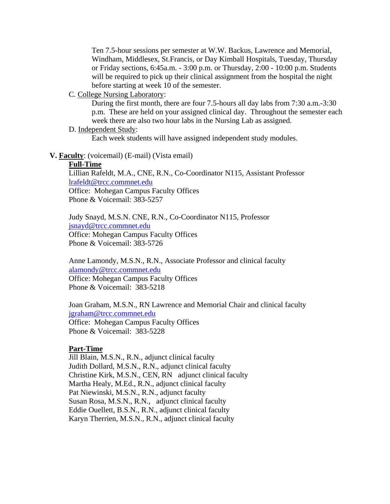Ten 7.5-hour sessions per semester at W.W. Backus, Lawrence and Memorial, Windham, Middlesex, St.Francis, or Day Kimball Hospitals, Tuesday, Thursday or Friday sections, 6:45a.m. - 3:00 p.m. or Thursday, 2:00 - 10:00 p.m. Students will be required to pick up their clinical assignment from the hospital the night before starting at week 10 of the semester.

### C. College Nursing Laboratory:

During the first month, there are four 7.5-hours all day labs from 7:30 a.m.-3:30 p.m. These are held on your assigned clinical day. Throughout the semester each week there are also two hour labs in the Nursing Lab as assigned.

### D. Independent Study:

Each week students will have assigned independent study modules.

#### **V. Faculty**: (voicemail) (E-mail) (Vista email)

### **Full-Time**

Lillian Rafeldt, M.A., CNE, R.N., Co-Coordinator N115, Assistant Professor [lrafeldt@trcc.commnet.edu](mailto:lrafeldt@trcc.commnet.edu) Office: Mohegan Campus Faculty Offices Phone & Voicemail: 383-5257

Judy Snayd, M.S.N. CNE, R.N., Co-Coordinator N115, Professor [jsnayd@trcc.commnet.edu](mailto:jsnayd@trcc.commnet.edu) Office: Mohegan Campus Faculty Offices Phone & Voicemail: 383-5726

Anne Lamondy, M.S.N., R.N., Associate Professor and clinical faculty [alamondy@trcc.commnet.edu](mailto:alamondy@trcc.commnet.edu) Office: Mohegan Campus Faculty Offices Phone & Voicemail: 383-5218

Joan Graham, M.S.N., RN Lawrence and Memorial Chair and clinical faculty [jgraham@trcc.commnet.edu](mailto:jgraham@trcc.commnet.edu)  Office: Mohegan Campus Faculty Offices Phone & Voicemail: 383-5228

#### **Part-Time**

Jill Blain, M.S.N., R.N., adjunct clinical faculty Judith Dollard, M.S.N., R.N., adjunct clinical faculty Christine Kirk, M.S.N., CEN, RN adjunct clinical faculty Martha Healy, M.Ed., R.N., adjunct clinical faculty Pat Niewinski, M.S.N., R.N., adjunct faculty Susan Rosa, M.S.N., R.N., adjunct clinical faculty Eddie Ouellett, B.S.N., R.N., adjunct clinical faculty Karyn Therrien, M.S.N., R.N., adjunct clinical faculty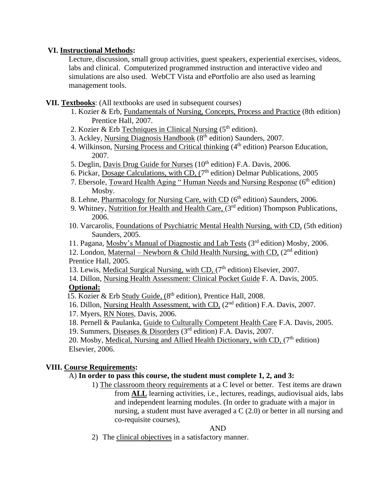# **VI. Instructional Methods:**

Lecture, discussion, small group activities, guest speakers, experiential exercises, videos, labs and clinical. Computerized programmed instruction and interactive video and simulations are also used. WebCT Vista and ePortfolio are also used as learning management tools.

- **VII. Textbooks**: (All textbooks are used in subsequent courses)
	- 1. Kozier & Erb, Fundamentals of Nursing, Concepts, Process and Practice (8th edition) Prentice Hall, 2007.
	- 2. Kozier & Erb Techniques in Clinical Nursing  $(5<sup>th</sup> edition)$ .
	- 3. Ackley, Nursing Diagnosis Handbook (8th edition) Saunders, 2007.
	- 4. Wilkinson, Nursing Process and Critical thinking (4<sup>th</sup> edition) Pearson Education, 2007.
	- 5. Deglin, Davis Drug Guide for Nurses  $(10<sup>th</sup>$  edition) F.A. Davis, 2006.
	- 6. Pickar, Dosage Calculations, with CD, (7<sup>th</sup> edition) Delmar Publications, 2005
	- 7. Ebersole, Toward Health Aging " Human Needs and Nursing Response (6<sup>th</sup> edition) Mosby.
	- 8. Lehne, Pharmacology for Nursing Care, with CD  $(6<sup>th</sup>$  edition) Saunders, 2006.
	- 9. Whitney, Nutrition for Health and Health Care, (3<sup>rd</sup> edition) Thompson Publications, 2006.
	- 10. Varcarolis, Foundations of Psychiatric Mental Health Nursing, with CD, (5th edition) Saunders, 2005.
	- 11. Pagana, Mosby's Manual of Diagnostic and Lab Tests (3rd edition) Mosby, 2006.

12. London, Maternal – Newborn & Child Health Nursing, with CD,  $(2^{nd}$  edition) Prentice Hall, 2005.

- 13. Lewis, Medical Surgical Nursing, with CD, (7<sup>th</sup> edition) Elsevier, 2007.
- 14. Dillon, Nursing Health Assessment: Clinical Pocket Guide F. A. Davis, 2005. **Optional:**

15. Kozier & Erb Study Guide, (8<sup>th</sup> edition), Prentice Hall, 2008.

- 16. Dillon, Nursing Health Assessment, with CD, (2nd edition) F.A. Davis, 2007.
- 17. Myers, RN Notes, Davis, 2006.
- 18. Pernell & Paulanka, Guide to Culturally Competent Health Care F.A. Davis, 2005.

19. Summers, Diseases & Disorders (3rd edition) F.A. Davis, 2007.

20. Mosby, Medical, Nursing and Allied Health Dictionary, with CD,  $(7<sup>th</sup>$  edition) Elsevier, 2006.

# **VIII. Course Requirements:**

# A) **In order to pass this course, the student must complete 1, 2, and 3:**

1) The classroom theory requirements at a C level or better. Test items are drawn from **ALL** learning activities, i.e., lectures, readings, audiovisual aids, labs and independent learning modules. (In order to graduate with a major in nursing, a student must have averaged a C (2.0) or better in all nursing and co-requisite courses),

# AND

2) The clinical objectives in a satisfactory manner.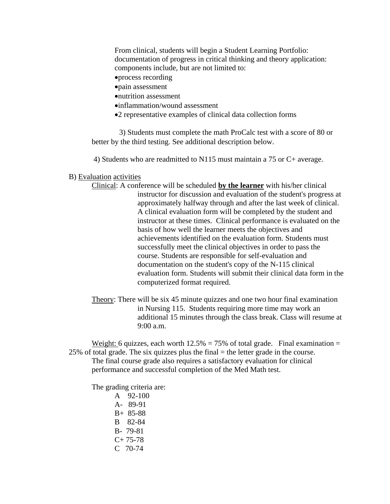From clinical, students will begin a Student Learning Portfolio: documentation of progress in critical thinking and theory application: components include, but are not limited to:

- process recording
- pain assessment
- nutrition assessment
- inflammation/wound assessment
- 2 representative examples of clinical data collection forms

3) Students must complete the math ProCalc test with a score of 80 or better by the third testing. See additional description below.

4) Students who are readmitted to N115 must maintain a 75 or C+ average.

#### B) Evaluation activities

- Clinical: A conference will be scheduled **by the learner** with his/her clinical instructor for discussion and evaluation of the student's progress at approximately halfway through and after the last week of clinical. A clinical evaluation form will be completed by the student and instructor at these times. Clinical performance is evaluated on the basis of how well the learner meets the objectives and achievements identified on the evaluation form. Students must successfully meet the clinical objectives in order to pass the course. Students are responsible for self-evaluation and documentation on the student's copy of the N-115 clinical evaluation form. Students will submit their clinical data form in the computerized format required.
- Theory: There will be six 45 minute quizzes and one two hour final examination in Nursing 115. Students requiring more time may work an additional 15 minutes through the class break. Class will resume at 9:00 a.m.

Weight: 6 quizzes, each worth  $12.5\% = 75\%$  of total grade. Final examination =  $25\%$  of total grade. The six quizzes plus the final  $=$  the letter grade in the course. The final course grade also requires a satisfactory evaluation for clinical performance and successful completion of the Med Math test.

The grading criteria are:

A 92-100 A- 89-91 B+ 85-88 B 82-84 B- 79-81  $C+ 75-78$ C 70-74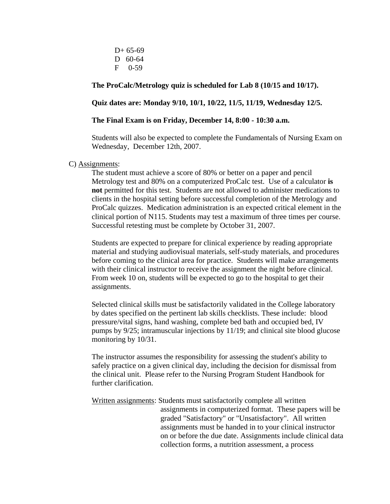$D+ 65-69$ D 60-64 F 0-59

### **The ProCalc/Metrology quiz is scheduled for Lab 8 (10/15 and 10/17).**

### **Quiz dates are: Monday 9/10, 10/1, 10/22, 11/5, 11/19, Wednesday 12/5.**

#### **The Final Exam is on Friday, December 14, 8:00 - 10:30 a.m.**

Students will also be expected to complete the Fundamentals of Nursing Exam on Wednesday, December 12th, 2007.

#### C) Assignments:

The student must achieve a score of 80% or better on a paper and pencil Metrology test and 80% on a computerized ProCalc test. Use of a calculator **is not** permitted for this test. Students are not allowed to administer medications to clients in the hospital setting before successful completion of the Metrology and ProCalc quizzes. Medication administration is an expected critical element in the clinical portion of N115. Students may test a maximum of three times per course. Successful retesting must be complete by October 31, 2007.

Students are expected to prepare for clinical experience by reading appropriate material and studying audiovisual materials, self-study materials, and procedures before coming to the clinical area for practice. Students will make arrangements with their clinical instructor to receive the assignment the night before clinical. From week 10 on, students will be expected to go to the hospital to get their assignments.

Selected clinical skills must be satisfactorily validated in the College laboratory by dates specified on the pertinent lab skills checklists. These include: blood pressure/vital signs, hand washing, complete bed bath and occupied bed, IV pumps by 9/25; intramuscular injections by 11/19; and clinical site blood glucose monitoring by 10/31.

The instructor assumes the responsibility for assessing the student's ability to safely practice on a given clinical day, including the decision for dismissal from the clinical unit. Please refer to the Nursing Program Student Handbook for further clarification.

Written assignments: Students must satisfactorily complete all written assignments in computerized format. These papers will be graded "Satisfactory" or "Unsatisfactory". All written assignments must be handed in to your clinical instructor on or before the due date. Assignments include clinical data collection forms, a nutrition assessment, a process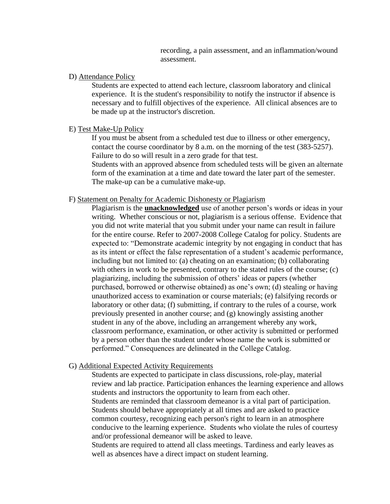recording, a pain assessment, and an inflammation/wound assessment.

#### D) Attendance Policy

Students are expected to attend each lecture, classroom laboratory and clinical experience. It is the student's responsibility to notify the instructor if absence is necessary and to fulfill objectives of the experience. All clinical absences are to be made up at the instructor's discretion.

### E) Test Make-Up Policy

If you must be absent from a scheduled test due to illness or other emergency, contact the course coordinator by 8 a.m. on the morning of the test (383-5257). Failure to do so will result in a zero grade for that test.

Students with an approved absence from scheduled tests will be given an alternate form of the examination at a time and date toward the later part of the semester. The make-up can be a cumulative make-up.

### F) Statement on Penalty for Academic Dishonesty or Plagiarism

Plagiarism is the **unacknowledged** use of another person's words or ideas in your writing. Whether conscious or not, plagiarism is a serious offense. Evidence that you did not write material that you submit under your name can result in failure for the entire course. Refer to 2007-2008 College Catalog for policy. Students are expected to: "Demonstrate academic integrity by not engaging in conduct that has as its intent or effect the false representation of a student's academic performance, including but not limited to: (a) cheating on an examination; (b) collaborating with others in work to be presented, contrary to the stated rules of the course; (c) plagiarizing, including the submission of others' ideas or papers (whether purchased, borrowed or otherwise obtained) as one's own; (d) stealing or having unauthorized access to examination or course materials; (e) falsifying records or laboratory or other data; (f) submitting, if contrary to the rules of a course, work previously presented in another course; and (g) knowingly assisting another student in any of the above, including an arrangement whereby any work, classroom performance, examination, or other activity is submitted or performed by a person other than the student under whose name the work is submitted or performed." Consequences are delineated in the College Catalog.

### G) Additional Expected Activity Requirements

Students are expected to participate in class discussions, role-play, material review and lab practice. Participation enhances the learning experience and allows students and instructors the opportunity to learn from each other. Students are reminded that classroom demeanor is a vital part of participation. Students should behave appropriately at all times and are asked to practice common courtesy, recognizing each person's right to learn in an atmosphere conducive to the learning experience. Students who violate the rules of courtesy and/or professional demeanor will be asked to leave.

Students are required to attend all class meetings. Tardiness and early leaves as well as absences have a direct impact on student learning.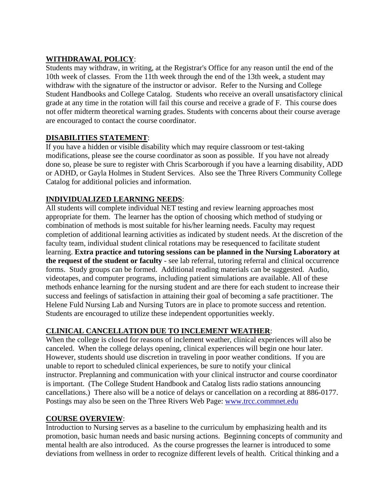# **WITHDRAWAL POLICY**:

Students may withdraw, in writing, at the Registrar's Office for any reason until the end of the 10th week of classes. From the 11th week through the end of the 13th week, a student may withdraw with the signature of the instructor or advisor. Refer to the Nursing and College Student Handbooks and College Catalog. Students who receive an overall unsatisfactory clinical grade at any time in the rotation will fail this course and receive a grade of F. This course does not offer midterm theoretical warning grades. Students with concerns about their course average are encouraged to contact the course coordinator.

# **DISABILITIES STATEMENT**:

If you have a hidden or visible disability which may require classroom or test-taking modifications, please see the course coordinator as soon as possible. If you have not already done so, please be sure to register with Chris Scarborough if you have a learning disability, ADD or ADHD, or Gayla Holmes in Student Services. Also see the Three Rivers Community College Catalog for additional policies and information.

# **INDIVIDUALIZED LEARNING NEEDS**:

All students will complete individual NET testing and review learning approaches most appropriate for them. The learner has the option of choosing which method of studying or combination of methods is most suitable for his/her learning needs. Faculty may request completion of additional learning activities as indicated by student needs. At the discretion of the faculty team, individual student clinical rotations may be resequenced to facilitate student learning. **Extra practice and tutoring sessions can be planned in the Nursing Laboratory at the request of the student or faculty** - see lab referral, tutoring referral and clinical occurrence forms. Study groups can be formed. Additional reading materials can be suggested. Audio, videotapes, and computer programs, including patient simulations are available. All of these methods enhance learning for the nursing student and are there for each student to increase their success and feelings of satisfaction in attaining their goal of becoming a safe practitioner. The Helene Fuld Nursing Lab and Nursing Tutors are in place to promote success and retention. Students are encouraged to utilize these independent opportunities weekly.

# **CLINICAL CANCELLATION DUE TO INCLEMENT WEATHER**:

When the college is closed for reasons of inclement weather, clinical experiences will also be canceled. When the college delays opening, clinical experiences will begin one hour later. However, students should use discretion in traveling in poor weather conditions. If you are unable to report to scheduled clinical experiences, be sure to notify your clinical instructor. Preplanning and communication with your clinical instructor and course coordinator is important. (The College Student Handbook and Catalog lists radio stations announcing cancellations.) There also will be a notice of delays or cancellation on a recording at 886-0177. Postings may also be seen on the Three Rivers Web Page: [www.trcc.commnet.edu](http://www.trcc.commnet.edu/)

# **COURSE OVERVIEW**:

Introduction to Nursing serves as a baseline to the curriculum by emphasizing health and its promotion, basic human needs and basic nursing actions. Beginning concepts of community and mental health are also introduced. As the course progresses the learner is introduced to some deviations from wellness in order to recognize different levels of health. Critical thinking and a